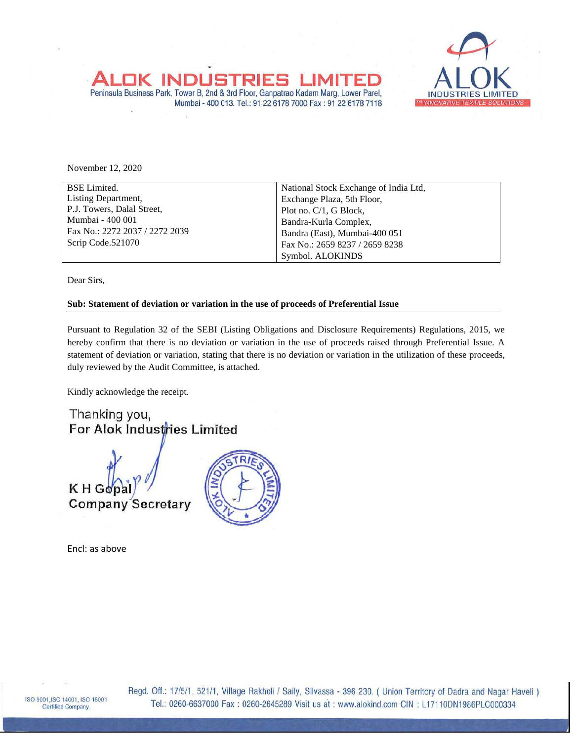



November 12, 2020

| <b>BSE</b> Limited.            | National Stock Exchange of India Ltd, |  |  |  |
|--------------------------------|---------------------------------------|--|--|--|
| Listing Department,            | Exchange Plaza, 5th Floor,            |  |  |  |
| P.J. Towers, Dalal Street,     | Plot no. $C/1$ , G Block,             |  |  |  |
| Mumbai - 400 001               | Bandra-Kurla Complex,                 |  |  |  |
| Fax No.: 2272 2037 / 2272 2039 | Bandra (East), Mumbai-400 051         |  |  |  |
| Scrip Code.521070              | Fax No.: 2659 8237 / 2659 8238        |  |  |  |
|                                | Symbol. ALOKINDS                      |  |  |  |

Dear Sirs,

## **Sub: Statement of deviation or variation in the use of proceeds of Preferential Issue**

Pursuant to Regulation 32 of the SEBI (Listing Obligations and Disclosure Requirements) Regulations, 2015, we hereby confirm that there is no deviation or variation in the use of proceeds raised through Preferential Issue. A statement of deviation or variation, stating that there is no deviation or variation in the utilization of these proceeds, duly reviewed by the Audit Committee, is attached.

Kindly acknowledge the receipt.

Thanking you, For Alok Industries Limited



Encl: as above



Regd. Off.: 17/5/1, 521/1, Village Rakholi / Saily, Silvassa - 396 230. ( Union Territory of Dadra and Nagar Haveli ) Tel.: 0260-6637000 Fax: 0260-2645289 Visit us at: www.alokind.com CIN: L17110DN1986PLC000334